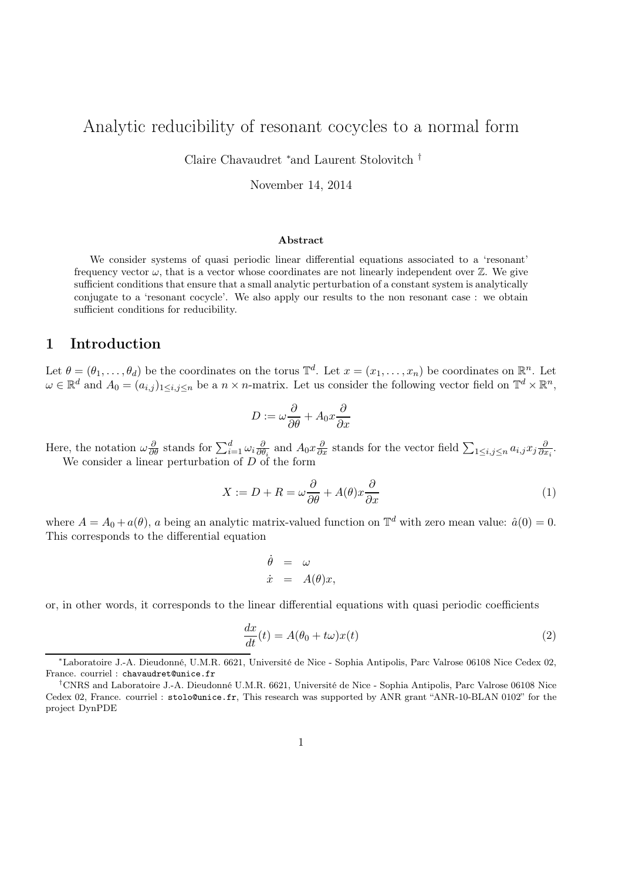# Analytic reducibility of resonant cocycles to a normal form

Claire Chavaudret <sup>∗</sup> and Laurent Stolovitch †

November 14, 2014

#### Abstract

We consider systems of quasi periodic linear differential equations associated to a 'resonant' frequency vector  $\omega$ , that is a vector whose coordinates are not linearly independent over  $\mathbb{Z}$ . We give sufficient conditions that ensure that a small analytic perturbation of a constant system is analytically conjugate to a 'resonant cocycle'. We also apply our results to the non resonant case : we obtain sufficient conditions for reducibility.

## 1 Introduction

Let  $\theta = (\theta_1, \ldots, \theta_d)$  be the coordinates on the torus  $\mathbb{T}^d$ . Let  $x = (x_1, \ldots, x_n)$  be coordinates on  $\mathbb{R}^n$ . Let  $\omega \in \mathbb{R}^d$  and  $A_0 = (a_{i,j})_{1 \leq i,j \leq n}$  be a  $n \times n$ -matrix. Let us consider the following vector field on  $\mathbb{T}^d \times \mathbb{R}^n$ ,

$$
D := \omega \frac{\partial}{\partial \theta} + A_0 x \frac{\partial}{\partial x}
$$

Here, the notation  $\omega \frac{\partial}{\partial \theta}$  stands for  $\sum_{i=1}^{d} \omega_i \frac{\partial}{\partial \theta}$  $\frac{\partial}{\partial \theta_i}$  and  $A_0 x \frac{\partial}{\partial x}$  stands for the vector field  $\sum_{1 \leq i,j \leq n} a_{i,j} x_j \frac{\partial}{\partial x}$  $\frac{\partial}{\partial x_i}$ . We consider a linear perturbation of  $D$  of the form

$$
X := D + R = \omega \frac{\partial}{\partial \theta} + A(\theta)x \frac{\partial}{\partial x}
$$
\n<sup>(1)</sup>

where  $A = A_0 + a(\theta)$ , a being an analytic matrix-valued function on  $\mathbb{T}^d$  with zero mean value:  $\hat{a}(0) = 0$ . This corresponds to the differential equation

$$
\begin{array}{rcl}\n\dot{\theta} & = & \omega \\
\dot{x} & = & A(\theta)x,\n\end{array}
$$

or, in other words, it corresponds to the linear differential equations with quasi periodic coefficients

$$
\frac{dx}{dt}(t) = A(\theta_0 + t\omega)x(t)
$$
\n(2)

<sup>∗</sup>Laboratoire J.-A. Dieudonné, U.M.R. 6621, Université de Nice - Sophia Antipolis, Parc Valrose 06108 Nice Cedex 02, France. courriel : chavaudret@unice.fr

<sup>†</sup>CNRS and Laboratoire J.-A. Dieudonné U.M.R. 6621, Université de Nice - Sophia Antipolis, Parc Valrose 06108 Nice Cedex 02, France. courriel : stolo@unice.fr, This research was supported by ANR grant "ANR-10-BLAN 0102" for the project DynPDE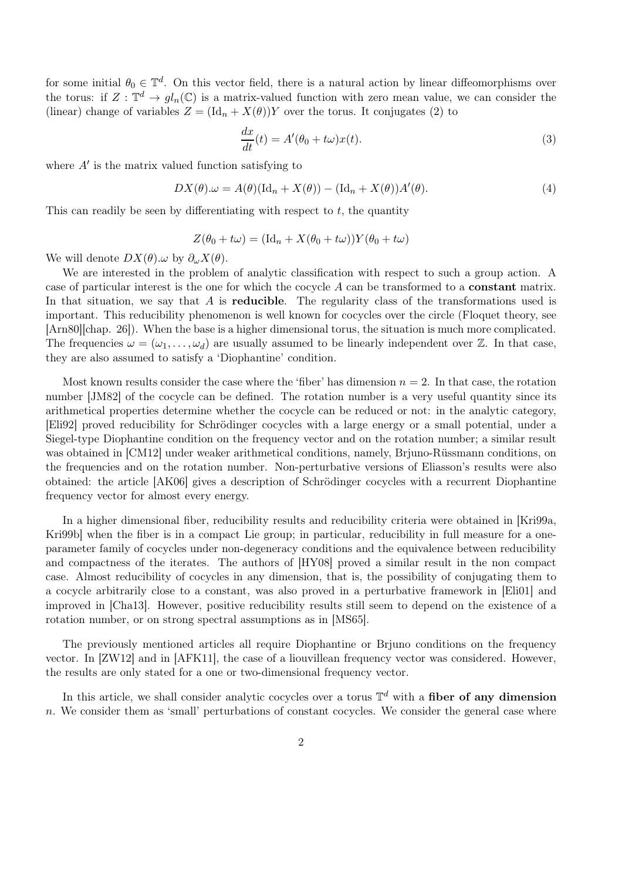for some initial  $\theta_0 \in \mathbb{T}^d$ . On this vector field, there is a natural action by linear diffeomorphisms over the torus: if  $Z: \mathbb{T}^d \to gl_n(\mathbb{C})$  is a matrix-valued function with zero mean value, we can consider the (linear) change of variables  $Z = (\text{Id}_n + X(\theta))Y$  over the torus. It conjugates (2) to

$$
\frac{dx}{dt}(t) = A'(\theta_0 + t\omega)x(t).
$$
\n(3)

where  $A'$  is the matrix valued function satisfying to

$$
DX(\theta).\omega = A(\theta)(\mathrm{Id}_n + X(\theta)) - (\mathrm{Id}_n + X(\theta))A'(\theta).
$$
\n(4)

This can readily be seen by differentiating with respect to  $t$ , the quantity

$$
Z(\theta_0 + t\omega) = (\text{Id}_n + X(\theta_0 + t\omega))Y(\theta_0 + t\omega)
$$

We will denote  $DX(\theta) \omega$  by  $\partial_{\omega}X(\theta)$ .

We are interested in the problem of analytic classification with respect to such a group action. A case of particular interest is the one for which the cocycle A can be transformed to a constant matrix. In that situation, we say that  $A$  is **reducible**. The regularity class of the transformations used is important. This reducibility phenomenon is well known for cocycles over the circle (Floquet theory, see [Arn80][chap. 26]). When the base is a higher dimensional torus, the situation is much more complicated. The frequencies  $\omega = (\omega_1, \dots, \omega_d)$  are usually assumed to be linearly independent over Z. In that case, they are also assumed to satisfy a 'Diophantine' condition.

Most known results consider the case where the 'fiber' has dimension  $n = 2$ . In that case, the rotation number [JM82] of the cocycle can be defined. The rotation number is a very useful quantity since its arithmetical properties determine whether the cocycle can be reduced or not: in the analytic category, [Eli92] proved reducibility for Schrödinger cocycles with a large energy or a small potential, under a Siegel-type Diophantine condition on the frequency vector and on the rotation number; a similar result was obtained in [CM12] under weaker arithmetical conditions, namely, Brjuno-Rüssmann conditions, on the frequencies and on the rotation number. Non-perturbative versions of Eliasson's results were also obtained: the article [AK06] gives a description of Schrödinger cocycles with a recurrent Diophantine frequency vector for almost every energy.

In a higher dimensional fiber, reducibility results and reducibility criteria were obtained in [Kri99a, Kri99b] when the fiber is in a compact Lie group; in particular, reducibility in full measure for a oneparameter family of cocycles under non-degeneracy conditions and the equivalence between reducibility and compactness of the iterates. The authors of [HY08] proved a similar result in the non compact case. Almost reducibility of cocycles in any dimension, that is, the possibility of conjugating them to a cocycle arbitrarily close to a constant, was also proved in a perturbative framework in [Eli01] and improved in [Cha13]. However, positive reducibility results still seem to depend on the existence of a rotation number, or on strong spectral assumptions as in [MS65].

The previously mentioned articles all require Diophantine or Brjuno conditions on the frequency vector. In [ZW12] and in [AFK11], the case of a liouvillean frequency vector was considered. However, the results are only stated for a one or two-dimensional frequency vector.

In this article, we shall consider analytic cocycles over a torus  $\mathbb{T}^d$  with a fiber of any dimension  $n.$  We consider them as 'small' perturbations of constant cocycles. We consider the general case where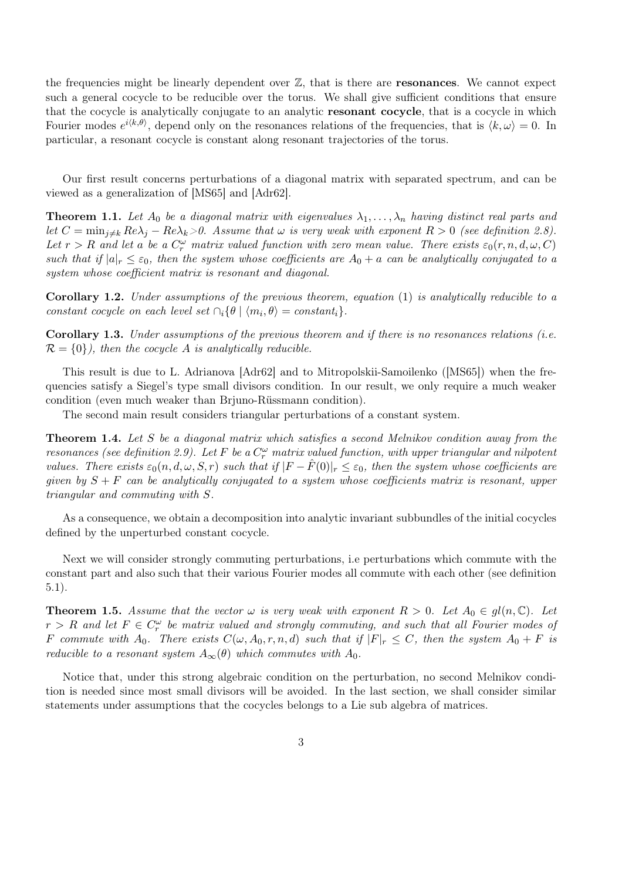the frequencies might be linearly dependent over  $\mathbb{Z}$ , that is there are **resonances**. We cannot expect such a general cocycle to be reducible over the torus. We shall give sufficient conditions that ensure that the cocycle is analytically conjugate to an analytic resonant cocycle, that is a cocycle in which Fourier modes  $e^{i\langle k,\theta\rangle}$ , depend only on the resonances relations of the frequencies, that is  $\langle k,\omega\rangle=0$ . In particular, a resonant cocycle is constant along resonant trajectories of the torus.

Our first result concerns perturbations of a diagonal matrix with separated spectrum, and can be viewed as a generalization of [MS65] and [Adr62].

**Theorem 1.1.** Let  $A_0$  be a diagonal matrix with eigenvalues  $\lambda_1, \ldots, \lambda_n$  having distinct real parts and let  $C = \min_{j \neq k} Re\lambda_j - Re\lambda_k > 0$ . Assume that  $\omega$  is very weak with exponent  $R > 0$  (see definition 2.8). Let  $r > R$  and let a be a  $C_r^{\omega}$  matrix valued function with zero mean value. There exists  $\varepsilon_0(r, n, d, \omega, C)$ such that if  $|a|_r \leq \varepsilon_0$ , then the system whose coefficients are  $A_0 + a$  can be analytically conjugated to a system whose coefficient matrix is resonant and diagonal.

**Corollary 1.2.** Under assumptions of the previous theorem, equation  $(1)$  is analytically reducible to a constant cocycle on each level set  $\cap_i {\theta \mid \langle m_i, \theta \rangle} = constant_i$ .

Corollary 1.3. Under assumptions of the previous theorem and if there is no resonances relations (i.e.  $\mathcal{R} = \{0\}$ , then the cocycle A is analytically reducible.

This result is due to L. Adrianova [Adr62] and to Mitropolskii-Samoilenko ([MS65]) when the frequencies satisfy a Siegel's type small divisors condition. In our result, we only require a much weaker condition (even much weaker than Brjuno-Rüssmann condition).

The second main result considers triangular perturbations of a constant system.

**Theorem 1.4.** Let S be a diagonal matrix which satisfies a second Melnikov condition away from the resonances (see definition 2.9). Let F be a  $C_r^{\omega}$  matrix valued function, with upper triangular and nilpotent values. There exists  $\varepsilon_0(n, d, \omega, S, r)$  such that if  $|F - \hat{F}(0)|_r \leq \varepsilon_0$ , then the system whose coefficients are given by  $S + F$  can be analytically conjugated to a system whose coefficients matrix is resonant, upper triangular and commuting with S.

As a consequence, we obtain a decomposition into analytic invariant subbundles of the initial cocycles defined by the unperturbed constant cocycle.

Next we will consider strongly commuting perturbations, i.e perturbations which commute with the constant part and also such that their various Fourier modes all commute with each other (see definition 5.1).

**Theorem 1.5.** Assume that the vector  $\omega$  is very weak with exponent  $R > 0$ . Let  $A_0 \in gl(n, \mathbb{C})$ . Let  $r > R$  and let  $F \in C_r^{\omega}$  be matrix valued and strongly commuting, and such that all Fourier modes of F commute with  $A_0$ . There exists  $C(\omega, A_0, r, n, d)$  such that if  $|F|_r \leq C$ , then the system  $A_0 + F$  is reducible to a resonant system  $A_{\infty}(\theta)$  which commutes with  $A_0$ .

Notice that, under this strong algebraic condition on the perturbation, no second Melnikov condition is needed since most small divisors will be avoided. In the last section, we shall consider similar statements under assumptions that the cocycles belongs to a Lie sub algebra of matrices.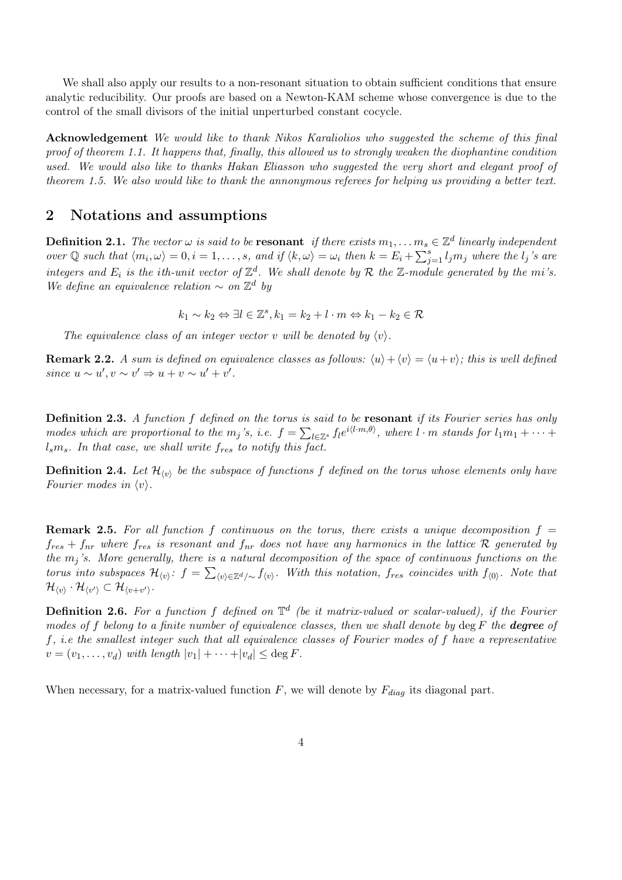We shall also apply our results to a non-resonant situation to obtain sufficient conditions that ensure analytic reducibility. Our proofs are based on a Newton-KAM scheme whose convergence is due to the control of the small divisors of the initial unperturbed constant cocycle.

Acknowledgement We would like to thank Nikos Karaliolios who suggested the scheme of this final proof of theorem 1.1. It happens that, finally, this allowed us to strongly weaken the diophantine condition used. We would also like to thanks Hakan Eliasson who suggested the very short and elegant proof of theorem 1.5. We also would like to thank the annonymous referees for helping us providing a better text.

### 2 Notations and assumptions

**Definition 2.1.** The vector  $\omega$  is said to be **resonant** if there exists  $m_1, \ldots, m_s \in \mathbb{Z}^d$  linearly independent over  $\mathbb Q$  such that  $\langle m_i, \omega \rangle = 0, i = 1, \ldots, s$ , and if  $\langle k, \omega \rangle = \omega_i$  then  $k = E_i + \sum_{j=1}^s l_j m_j$  where the  $l_j$ 's are integers and  $E_i$  is the ith-unit vector of  $\mathbb{Z}^d$ . We shall denote by R the Z-module generated by the mi's. We define an equivalence relation  $\sim$  on  $\mathbb{Z}^d$  by

 $k_1 \sim k_2 \Leftrightarrow \exists l \in \mathbb{Z}^s, k_1 = k_2 + l \cdot m \Leftrightarrow k_1 - k_2 \in \mathcal{R}$ 

The equivalence class of an integer vector v will be denoted by  $\langle v \rangle$ .

**Remark 2.2.** A sum is defined on equivalence classes as follows:  $\langle u \rangle + \langle v \rangle = \langle u + v \rangle$ ; this is well defined since  $u \sim u', v \sim v' \Rightarrow u + v \sim u' + v'.$ 

Definition 2.3. A function f defined on the torus is said to be resonant if its Fourier series has only modes which are proportional to the  $m_j$ 's, i.e.  $f = \sum_{l \in \mathbb{Z}^s} f_l e^{i \langle l \cdot m, \theta \rangle}$ , where  $l \cdot m$  stands for  $l_1 m_1 + \cdots + l_m$  $l_s m_s$ . In that case, we shall write  $f_{res}$  to notify this fact.

**Definition 2.4.** Let  $\mathcal{H}_{(v)}$  be the subspace of functions f defined on the torus whose elements only have Fourier modes in  $\langle v \rangle$ .

**Remark 2.5.** For all function f continuous on the torus, there exists a unique decomposition  $f =$  $f_{res} + f_{nr}$  where  $f_{res}$  is resonant and  $f_{nr}$  does not have any harmonics in the lattice R generated by the  $m_j$ 's. More generally, there is a natural decomposition of the space of continuous functions on the torus into subspaces  $\mathcal{H}_{\langle v \rangle}$ :  $f = \sum_{\langle v \rangle \in \mathbb{Z}^d/\sim} f_{\langle v \rangle}$ . With this notation,  $f_{res}$  coincides with  $f_{\langle 0 \rangle}$ . Note that  $\mathcal{H}_{\langle v \rangle} \cdot \mathcal{H}_{\langle v' \rangle} \subset \mathcal{H}_{\langle v+v' \rangle}$  .

**Definition 2.6.** For a function f defined on  $\mathbb{T}^d$  (be it matrix-valued or scalar-valued), if the Fourier modes of f belong to a finite number of equivalence classes, then we shall denote by  $\deg F$  the **degree** of f, i.e the smallest integer such that all equivalence classes of Fourier modes of f have a representative  $v = (v_1, \ldots, v_d)$  with length  $|v_1| + \cdots + |v_d| \leq \deg F$ .

When necessary, for a matrix-valued function  $F$ , we will denote by  $F_{diag}$  its diagonal part.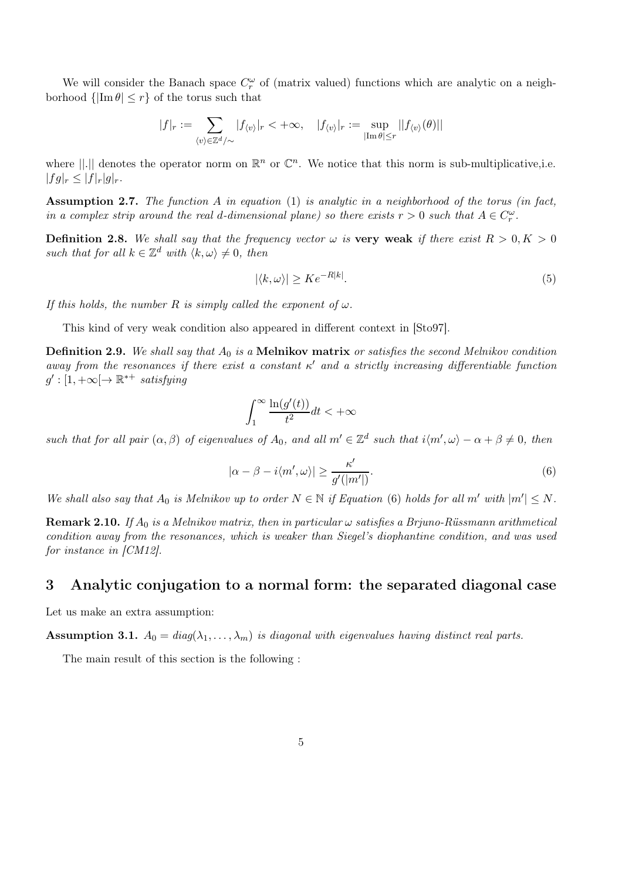We will consider the Banach space  $C_r^{\omega}$  of (matrix valued) functions which are analytic on a neighborhood  $\{|\text{Im }\theta| \leq r\}$  of the torus such that

$$
|f|_r:=\sum_{\langle v\rangle\in\mathbb{Z}^d/\sim}|f_{\langle v\rangle}|_r<+\infty,\quad |f_{\langle v\rangle}|_r:=\sup_{|\mathrm{Im}\,\theta|\leq r}||f_{\langle v\rangle}(\theta)||
$$

where  $||.||$  denotes the operator norm on  $\mathbb{R}^n$  or  $\mathbb{C}^n$ . We notice that this norm is sub-multiplicative, i.e.  $|fg|_r \leq |f|_r|g|_r.$ 

**Assumption 2.7.** The function A in equation (1) is analytic in a neighborhood of the torus (in fact, in a complex strip around the real d-dimensional plane) so there exists  $r > 0$  such that  $A \in C_r^{\omega}$ .

**Definition 2.8.** We shall say that the frequency vector  $\omega$  is very weak if there exist  $R > 0, K > 0$ such that for all  $k \in \mathbb{Z}^d$  with  $\langle k, \omega \rangle \neq 0$ , then

$$
|\langle k, \omega \rangle| \ge K e^{-R|k|}.\tag{5}
$$

If this holds, the number R is simply called the exponent of  $\omega$ .

This kind of very weak condition also appeared in different context in [Sto97].

**Definition 2.9.** We shall say that  $A_0$  is a **Melnikov matrix** or satisfies the second Melnikov condition away from the resonances if there exist a constant  $\kappa'$  and a strictly increasing differentiable function  $g': [1, +\infty[ \rightarrow \mathbb{R}^{*+}$  satisfying

$$
\int_{1}^{\infty} \frac{\ln(g'(t))}{t^2} dt < +\infty
$$

such that for all pair  $(\alpha, \beta)$  of eigenvalues of  $A_0$ , and all  $m' \in \mathbb{Z}^d$  such that  $i\langle m', \omega \rangle - \alpha + \beta \neq 0$ , then

$$
|\alpha - \beta - i\langle m', \omega \rangle| \ge \frac{\kappa'}{g'(|m'|)}.
$$
\n(6)

We shall also say that  $A_0$  is Melnikov up to order  $N \in \mathbb{N}$  if Equation (6) holds for all m' with  $|m'| \leq N$ .

**Remark 2.10.** If  $A_0$  is a Melnikov matrix, then in particular  $\omega$  satisfies a Brjuno-Rüssmann arithmetical condition away from the resonances, which is weaker than Siegel's diophantine condition, and was used for instance in [CM12].

### 3 Analytic conjugation to a normal form: the separated diagonal case

Let us make an extra assumption:

**Assumption 3.1.**  $A_0 = diag(\lambda_1, ..., \lambda_m)$  is diagonal with eigenvalues having distinct real parts.

The main result of this section is the following :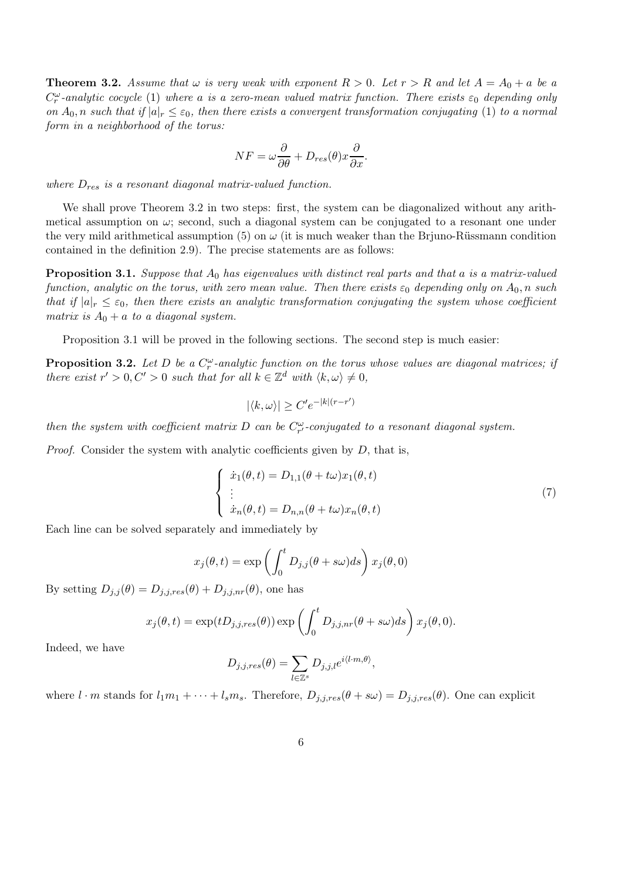**Theorem 3.2.** Assume that  $\omega$  is very weak with exponent  $R > 0$ . Let  $r > R$  and let  $A = A_0 + a$  be a  $C_r^{\omega}$ -analytic cocycle (1) where a is a zero-mean valued matrix function. There exists  $\varepsilon_0$  depending only on  $A_0$ , n such that if  $|a|_r \leq \varepsilon_0$ , then there exists a convergent transformation conjugating (1) to a normal form in a neighborhood of the torus:

$$
NF = \omega \frac{\partial}{\partial \theta} + D_{res}(\theta) x \frac{\partial}{\partial x}.
$$

where  $D_{res}$  is a resonant diagonal matrix-valued function.

We shall prove Theorem 3.2 in two steps: first, the system can be diagonalized without any arithmetical assumption on  $\omega$ ; second, such a diagonal system can be conjugated to a resonant one under the very mild arithmetical assumption (5) on  $\omega$  (it is much weaker than the Brjuno-Rüssmann condition contained in the definition 2.9). The precise statements are as follows:

**Proposition 3.1.** Suppose that  $A_0$  has eigenvalues with distinct real parts and that a is a matrix-valued function, analytic on the torus, with zero mean value. Then there exists  $\varepsilon_0$  depending only on  $A_0$ , n such that if  $|a|_r \leq \varepsilon_0$ , then there exists an analytic transformation conjugating the system whose coefficient matrix is  $A_0 + a$  to a diagonal system.

Proposition 3.1 will be proved in the following sections. The second step is much easier:

**Proposition 3.2.** Let D be a  $C_r^{\omega}$ -analytic function on the torus whose values are diagonal matrices; if there exist  $r' > 0, C' > 0$  such that for all  $k \in \mathbb{Z}^d$  with  $\langle k, \omega \rangle \neq 0$ ,

$$
|\langle k, \omega \rangle| \ge C' e^{-|k|(r-r')}
$$

then the system with coefficient matrix D can be  $C_{r'}^{\omega}$ -conjugated to a resonant diagonal system.

*Proof.* Consider the system with analytic coefficients given by  $D$ , that is,

$$
\begin{cases}\n\dot{x}_1(\theta, t) = D_{1,1}(\theta + t\omega)x_1(\theta, t) \\
\vdots \\
\dot{x}_n(\theta, t) = D_{n,n}(\theta + t\omega)x_n(\theta, t)\n\end{cases}
$$
\n(7)

Each line can be solved separately and immediately by

$$
x_j(\theta, t) = \exp\left(\int_0^t D_{j,j}(\theta + s\omega)ds\right) x_j(\theta, 0)
$$

By setting  $D_{j,j}(\theta) = D_{j,j,res}(\theta) + D_{j,j,nr}(\theta)$ , one has

$$
x_j(\theta, t) = \exp(tD_{j,j,res}(\theta)) \exp\left(\int_0^t D_{j,j,nr}(\theta + s\omega)ds\right) x_j(\theta, 0).
$$

Indeed, we have

$$
D_{j,j,res}(\theta) = \sum_{l \in \mathbb{Z}^s} D_{j,j,l} e^{i \langle l \cdot m, \theta \rangle},
$$

where  $l \cdot m$  stands for  $l_1m_1 + \cdots + l_sm_s$ . Therefore,  $D_{j,j,res}(\theta + s\omega) = D_{j,j,res}(\theta)$ . One can explicit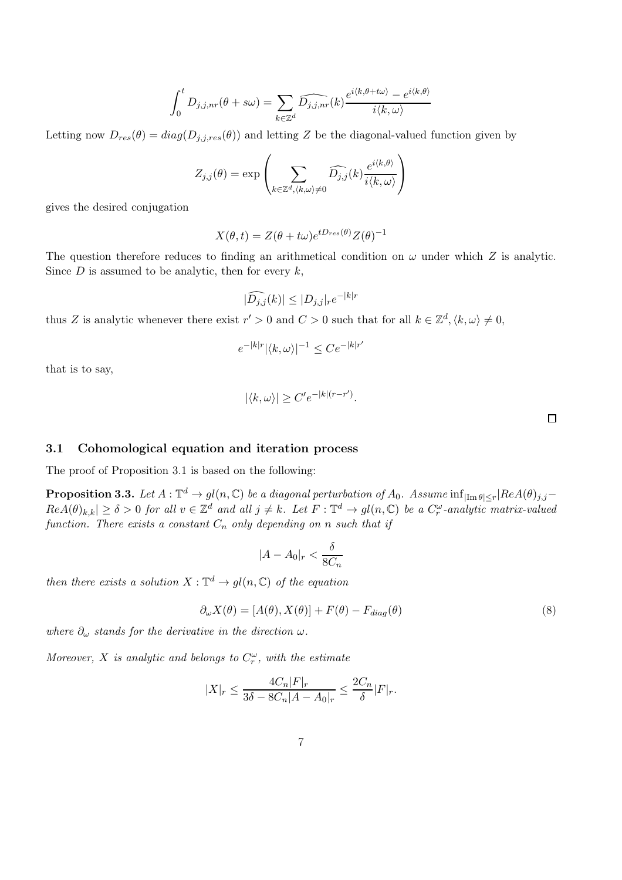$$
\int_0^t D_{j,j,nr}(\theta + s\omega) = \sum_{k \in \mathbb{Z}^d} \widehat{D_{j,j,nr}}(k) \frac{e^{i \langle k, \theta + t\omega \rangle} - e^{i \langle k, \theta \rangle}}{i \langle k, \omega \rangle}
$$

Letting now  $D_{res}(\theta) = diag(D_{j,j,res}(\theta))$  and letting Z be the diagonal-valued function given by

$$
Z_{j,j}(\theta) = \exp\left(\sum_{k \in \mathbb{Z}^d, \langle k,\omega \rangle \neq 0} \widehat{D_{j,j}}(k) \frac{e^{i \langle k,\theta \rangle}}{i \langle k,\omega \rangle}\right)
$$

gives the desired conjugation

$$
X(\theta, t) = Z(\theta + t\omega)e^{tD_{res}(\theta)}Z(\theta)^{-1}
$$

The question therefore reduces to finding an arithmetical condition on  $\omega$  under which Z is analytic. Since  $D$  is assumed to be analytic, then for every  $k$ ,

$$
|\widehat{D_{j,j}}(k)| \le |D_{j,j}|_r e^{-|k|r}
$$

thus Z is analytic whenever there exist  $r' > 0$  and  $C > 0$  such that for all  $k \in \mathbb{Z}^d, \langle k, \omega \rangle \neq 0$ ,

$$
e^{-|k|r} |\langle k, \omega \rangle|^{-1} \leq C e^{-|k|r'}
$$

that is to say,

$$
|\langle k,\omega\rangle| \ge C' e^{-|k|(r-r')}.
$$

 $\Box$ 

#### 3.1 Cohomological equation and iteration process

The proof of Proposition 3.1 is based on the following:

**Proposition 3.3.** Let  $A: \mathbb{T}^d \to gl(n,\mathbb{C})$  be a diagonal perturbation of  $A_0$ . Assume  $\inf_{|\text{Im }\theta|\leq r}|Re A(\theta)_{j,j} Re A(\theta)_{k,k} \ge \delta > 0$  for all  $v \in \mathbb{Z}^d$  and all  $j \ne k$ . Let  $F : \mathbb{T}^d \to gl(n, \mathbb{C})$  be a  $C_r^{\omega}$ -analytic matrix-valued function. There exists a constant  $C_n$  only depending on n such that if

$$
|A - A_0|_r < \frac{\delta}{8C_n}
$$

then there exists a solution  $X: \mathbb{T}^d \to gl(n, \mathbb{C})$  of the equation

$$
\partial_{\omega} X(\theta) = [A(\theta), X(\theta)] + F(\theta) - F_{diag}(\theta)
$$
\n(8)

where  $\partial_{\omega}$  stands for the derivative in the direction  $\omega$ .

Moreover, X is analytic and belongs to  $C_r^{\omega}$ , with the estimate

$$
|X|_r \leq \frac{4C_n|F|_r}{3\delta - 8C_n|A - A_0|_r} \leq \frac{2C_n}{\delta}|F|_r.
$$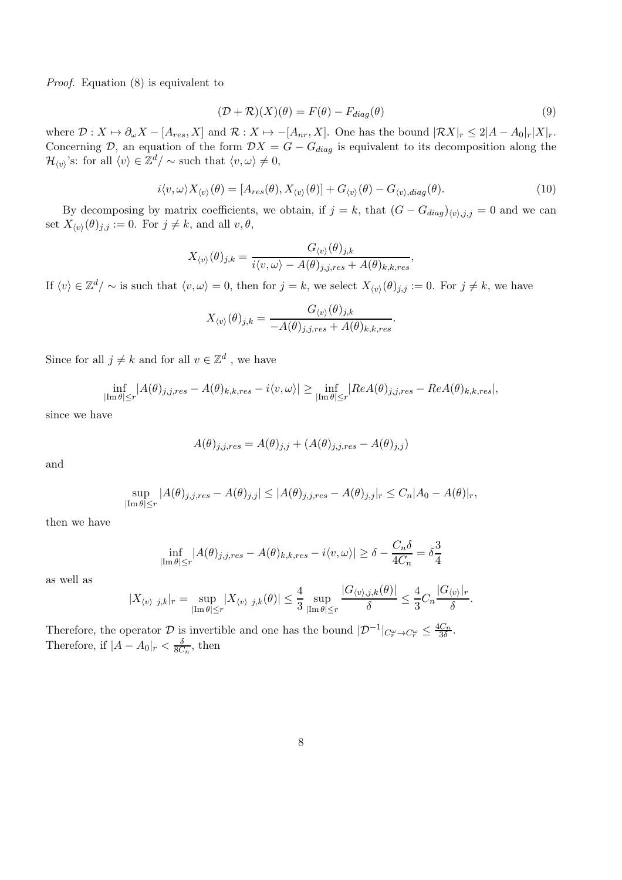Proof. Equation (8) is equivalent to

$$
(\mathcal{D} + \mathcal{R})(X)(\theta) = F(\theta) - F_{diag}(\theta)
$$
\n(9)

where  $\mathcal{D}: X \mapsto \partial_{\omega}X - [A_{res}, X]$  and  $\mathcal{R}: X \mapsto -[A_{nr}, X]$ . One has the bound  $|\mathcal{R}X|_r \leq 2|A - A_0|_r|X|_r$ . Concerning D, an equation of the form  $DX = G - G_{diag}$  is equivalent to its decomposition along the  $\mathcal{H}_{\langle v \rangle}$ 's: for all  $\langle v \rangle \in \mathbb{Z}^d / \sim$  such that  $\langle v, \omega \rangle \neq 0$ ,

$$
i\langle v,\omega\rangle X_{\langle v\rangle}(\theta) = [A_{res}(\theta), X_{\langle v\rangle}(\theta)] + G_{\langle v\rangle}(\theta) - G_{\langle v\rangle, diag}(\theta). \tag{10}
$$

By decomposing by matrix coefficients, we obtain, if  $j = k$ , that  $(G - G_{diag})_{(v),j,j} = 0$  and we can set  $X_{\langle v \rangle}(\theta)_{j,j} := 0$ . For  $j \neq k$ , and all  $v, \theta$ ,

$$
X_{\langle v\rangle}(\theta)_{j,k} = \frac{G_{\langle v\rangle}(\theta)_{j,k}}{i\langle v,\omega\rangle - A(\theta)_{j,j,res} + A(\theta)_{k,k,res}},
$$

If  $\langle v \rangle \in \mathbb{Z}^d/\sim$  is such that  $\langle v, \omega \rangle = 0$ , then for  $j = k$ , we select  $X_{\langle v \rangle}(\theta)_{j,j} := 0$ . For  $j \neq k$ , we have

$$
X_{\langle v\rangle}(\theta)_{j,k} = \frac{G_{\langle v\rangle}(\theta)_{j,k}}{-A(\theta)_{j,j,res} + A(\theta)_{k,k,res}}.
$$

Since for all  $j \neq k$  and for all  $v \in \mathbb{Z}^d$ , we have

$$
\inf_{|\mathrm{Im}\,\theta|\leq r}|A(\theta)_{j,j,res}-A(\theta)_{k,k,res}-i\langle v,\omega\rangle|\geq \inf_{|\mathrm{Im}\,\theta|\leq r}|Re A(\theta)_{j,j,res}-Re A(\theta)_{k,k,res}|,
$$

since we have

$$
A(\theta)_{j,j,res} = A(\theta)_{j,j} + (A(\theta)_{j,j,res} - A(\theta)_{j,j})
$$

and

$$
\sup_{|\text{Im }\theta| \le r} |A(\theta)_{j,j,res} - A(\theta)_{j,j}| \le |A(\theta)_{j,j,res} - A(\theta)_{j,j}|_r \le C_n |A_0 - A(\theta)|_r,
$$

then we have

$$
\inf_{|\text{Im}\,\theta|\leq r} |A(\theta)_{j,j,res} - A(\theta)_{k,k,res} - i\langle v,\omega\rangle| \geq \delta - \frac{C_n\delta}{4C_n} = \delta \frac{3}{4}
$$

as well as

$$
|X_{\langle v\rangle j,k}|_r=\sup_{|\text{Im }\theta|\leq r}|X_{\langle v\rangle j,k}(\theta)|\leq \frac{4}{3}\sup_{|\text{Im }\theta|\leq r}\frac{|G_{\langle v\rangle,j,k}(\theta)|}{\delta}\leq \frac{4}{3}C_n\frac{|G_{\langle v\rangle}|_r}{\delta}.
$$

Therefore, the operator D is invertible and one has the bound  $|\mathcal{D}^{-1}|_{C_r^{\omega} \to C_r^{\omega}} \leq \frac{4C_n}{3\delta}$  $\frac{C_n}{3\delta}$ . Therefore, if  $|A - A_0|_r < \frac{\delta}{8C_n}$ , then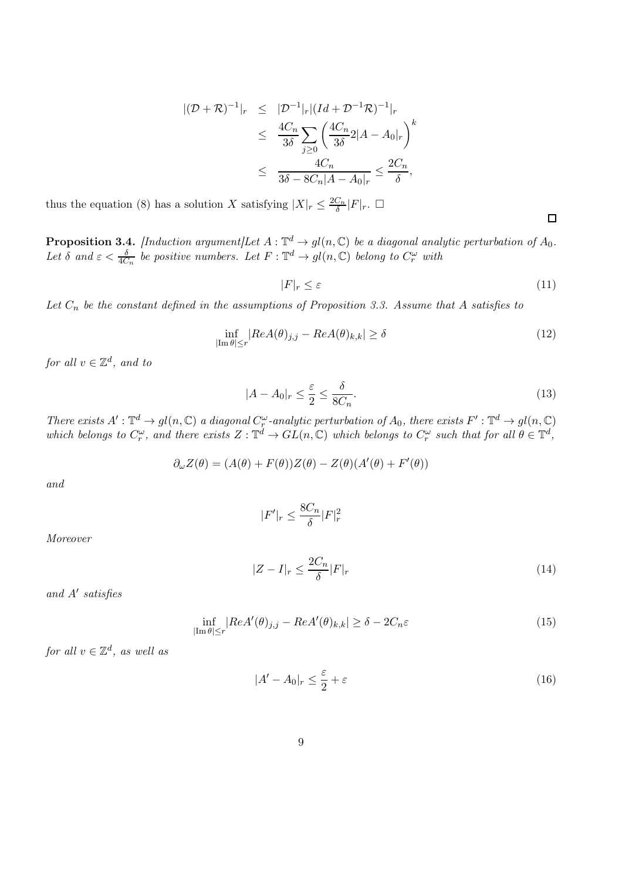$$
\begin{array}{rcl} |(\mathcal{D}+\mathcal{R})^{-1}|_r & \leq & |\mathcal{D}^{-1}|_r |(\operatorname{Id}+\mathcal{D}^{-1}\mathcal{R})^{-1}|_r \\ & \leq & \frac{4C_n}{3\delta} \sum_{j\geq 0} \left(\frac{4C_n}{3\delta} 2|A-A_0|_r\right)^k \\ & \leq & \frac{4C_n}{3\delta - 8C_n|A-A_0|_r} \leq \frac{2C_n}{\delta}, \end{array}
$$

thus the equation (8) has a solution X satisfying  $|X|_r \leq \frac{2C_n}{\delta}$  $\frac{C_n}{\delta}|F|_r$ .  $\Box$ 

**Proposition 3.4.** [Induction argument]Let  $A : \mathbb{T}^d \to gl(n, \mathbb{C})$  be a diagonal analytic perturbation of  $A_0$ . Let  $\delta$  and  $\varepsilon < \frac{\delta}{4C_n}$  be positive numbers. Let  $F: \mathbb{T}^d \to gl(n, \mathbb{C})$  belong to  $C_r^{\omega}$  with

$$
|F|_r \le \varepsilon \tag{11}
$$

 $\Box$ 

Let  $C_n$  be the constant defined in the assumptions of Proposition 3.3. Assume that A satisfies to

$$
\inf_{|\text{Im }\theta| \le r} |Re A(\theta)_{j,j} - Re A(\theta)_{k,k}| \ge \delta \tag{12}
$$

for all  $v \in \mathbb{Z}^d$ , and to

$$
|A - A_0|_r \le \frac{\varepsilon}{2} \le \frac{\delta}{8C_n}.\tag{13}
$$

There exists  $A': \mathbb{T}^d \to gl(n, \mathbb{C})$  a diagonal  $C^{\omega}_{\tau}$ -analytic perturbation of  $A_0$ , there exists  $F': \mathbb{T}^d \to gl(n, \mathbb{C})$ which belongs to  $C_r^{\omega}$ , and there exists  $Z: \mathbb{T}^d \to GL(n, \mathbb{C})$  which belongs to  $C_r^{\omega}$  such that for all  $\theta \in \mathbb{T}^d$ ,

$$
\partial_{\omega} Z(\theta) = (A(\theta) + F(\theta))Z(\theta) - Z(\theta)(A'(\theta) + F'(\theta))
$$

and

$$
|F'|_r \leq \frac{8C_n}{\delta}|F|_r^2
$$

Moreover

$$
|Z - I|_r \le \frac{2C_n}{\delta} |F|_r \tag{14}
$$

and A′ satisfies

$$
\inf_{|\text{Im}\,\theta|\leq r} |Re A'(\theta)_{j,j} - Re A'(\theta)_{k,k}| \geq \delta - 2C_n \varepsilon
$$
\n(15)

for all  $v \in \mathbb{Z}^d$ , as well as

$$
|A' - A_0|_r \le \frac{\varepsilon}{2} + \varepsilon \tag{16}
$$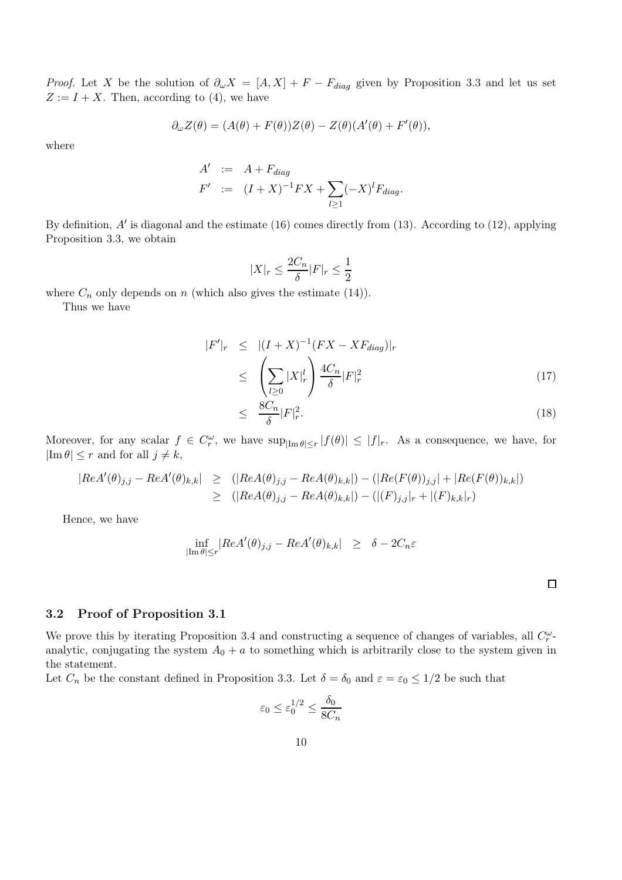*Proof.* Let X be the solution of  $\partial_{\omega}X = [A, X] + F - F_{diag}$  given by Proposition 3.3 and let us set  $Z := I + X$ . Then, according to (4), we have

$$
\partial_{\omega} Z(\theta) = (A(\theta) + F(\theta))Z(\theta) - Z(\theta)(A'(\theta) + F'(\theta)),
$$

where

$$
A' := A + F_{diag}
$$
  
\n
$$
F' := (I + X)^{-1} F X + \sum_{l \ge 1} (-X)^l F_{diag}.
$$

By definition, A' is diagonal and the estimate (16) comes directly from (13). According to (12), applying Proposition 3.3, we obtain

$$
|X|_r\leq \frac{2C_n}{\delta}|F|_r\leq \frac{1}{2}
$$

where  $C_n$  only depends on n (which also gives the estimate (14)).

Thus we have

$$
|F'|_{r} \leq |(I + X)^{-1}(FX - XF_{diag})|_{r}
$$
  
\n
$$
\leq \left(\sum_{l\geq 0} |X|_{r}^{l}\right) \frac{4C_{n}}{\delta} |F|_{r}^{2}
$$
\n(17)

$$
\leq \frac{8C_n}{\delta}|F|_r^2. \tag{18}
$$

 $\Box$ 

Moreover, for any scalar  $f \in C_r^{\omega}$ , we have  $\sup_{|\text{Im } \theta| \le r} |f(\theta)| \le |f|_r$ . As a consequence, we have, for  $|\text{Im }\theta| \leq r$  and for all  $j \neq k$ ,

$$
|Re A'(\theta)_{j,j} - Re A'(\theta)_{k,k}| \ge (|Re A(\theta)_{j,j} - Re A(\theta)_{k,k}|) - (|Re(F(\theta))_{j,j}| + |Re(F(\theta))_{k,k}|)
$$
  
 
$$
\ge (|Re A(\theta)_{j,j} - Re A(\theta)_{k,k}|) - (|(F)_{j,j}|_{r} + |(F)_{k,k}|_{r})
$$

Hence, we have

$$
\inf_{|\text{Im }\theta| \le r} |Re A'(\theta)_{j,j} - Re A'(\theta)_{k,k}| \ge \delta - 2C_n \varepsilon
$$

|  |  |  | 3.2 Proof of Proposition 3.1 |  |
|--|--|--|------------------------------|--|
|--|--|--|------------------------------|--|

We prove this by iterating Proposition 3.4 and constructing a sequence of changes of variables, all  $C_r^{\omega}$ . analytic, conjugating the system  $A_0 + a$  to something which is arbitrarily close to the system given in the statement.

Let  $C_n$  be the constant defined in Proposition 3.3. Let  $\delta = \delta_0$  and  $\varepsilon = \varepsilon_0 \leq 1/2$  be such that

$$
\varepsilon_0 \le \varepsilon_0^{1/2} \le \frac{\delta_0}{8C_n}
$$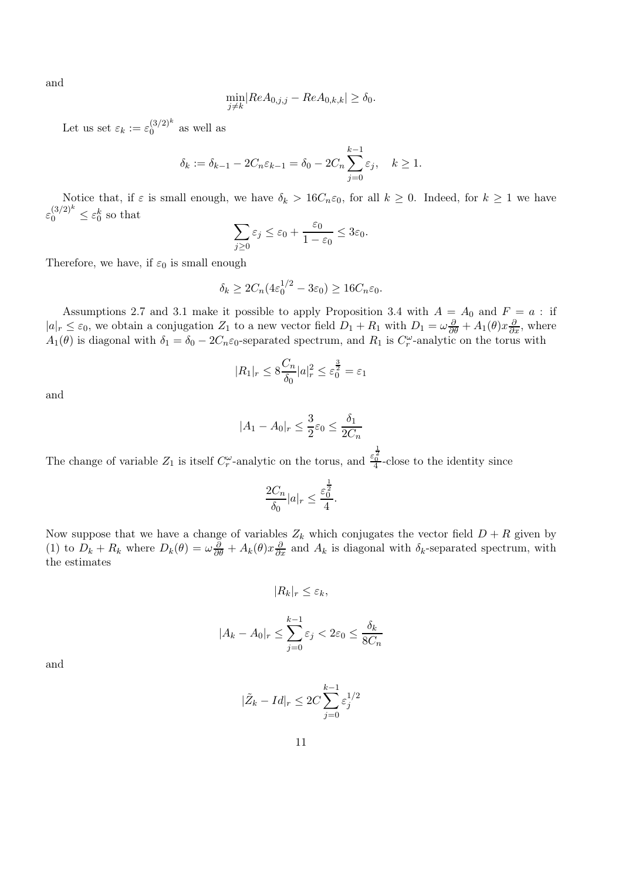and

$$
\min_{j \neq k} |Re A_{0,j,j} - Re A_{0,k,k}| \geq \delta_0.
$$

Let us set  $\varepsilon_k := \varepsilon_0^{(3/2)^k}$  $\int_{0}^{\left( \mathcal{O}/2\right) }$  as well as

$$
\delta_k := \delta_{k-1} - 2C_n \varepsilon_{k-1} = \delta_0 - 2C_n \sum_{j=0}^{k-1} \varepsilon_j, \quad k \ge 1.
$$

Notice that, if  $\varepsilon$  is small enough, we have  $\delta_k > 16C_n \varepsilon_0$ , for all  $k \geq 0$ . Indeed, for  $k \geq 1$  we have  $\varepsilon_0^{(3/2)^k} \leq \varepsilon_0^k$  so that

$$
\sum_{j\geq 0} \varepsilon_j \leq \varepsilon_0 + \frac{\varepsilon_0}{1 - \varepsilon_0} \leq 3\varepsilon_0.
$$

Therefore, we have, if  $\varepsilon_0$  is small enough

$$
\delta_k \ge 2C_n(4\varepsilon_0^{1/2} - 3\varepsilon_0) \ge 16C_n\varepsilon_0.
$$

Assumptions 2.7 and 3.1 make it possible to apply Proposition 3.4 with  $A = A_0$  and  $F = a$ : if  $|a|_r \leq \varepsilon_0$ , we obtain a conjugation  $Z_1$  to a new vector field  $D_1 + R_1$  with  $D_1 = \omega \frac{\partial}{\partial \theta} + A_1(\theta)x \frac{\partial}{\partial x}$ , where  $A_1(\theta)$  is diagonal with  $\delta_1 = \delta_0 - 2C_n \varepsilon_0$ -separated spectrum, and  $R_1$  is  $C_r^{\omega}$ -analytic on the torus with

$$
|R_1|_r \le 8\frac{C_n}{\delta_0}|a|_r^2 \le \varepsilon_0^{\frac{3}{2}} = \varepsilon_1
$$

and

$$
|A_1 - A_0|_r \le \frac{3}{2}\varepsilon_0 \le \frac{\delta_1}{2C_n}
$$

The change of variable  $Z_1$  is itself  $C_r^{\omega}$ -analytic on the torus, and  $\frac{\varepsilon_0^{\frac{1}{2}}}{4}$ -close to the identity since

$$
\frac{2C_n}{\delta_0}|a|_r \le \frac{\varepsilon_0^{\frac{1}{2}}}{4}.
$$

Now suppose that we have a change of variables  $Z_k$  which conjugates the vector field  $D + R$  given by (1) to  $D_k + R_k$  where  $D_k(\theta) = \omega \frac{\partial}{\partial \theta} + A_k(\theta) x \frac{\partial}{\partial x}$  and  $A_k$  is diagonal with  $\delta_k$ -separated spectrum, with the estimates

$$
|R_k|_r\leq\varepsilon_k,
$$

$$
|A_k - A_0|_r \le \sum_{j=0}^{k-1} \varepsilon_j < 2\varepsilon_0 \le \frac{\delta_k}{8C_n}
$$

and

$$
|\tilde{Z}_k - Id|_r \leq 2C \sum_{j=0}^{k-1} \varepsilon_j^{1/2}
$$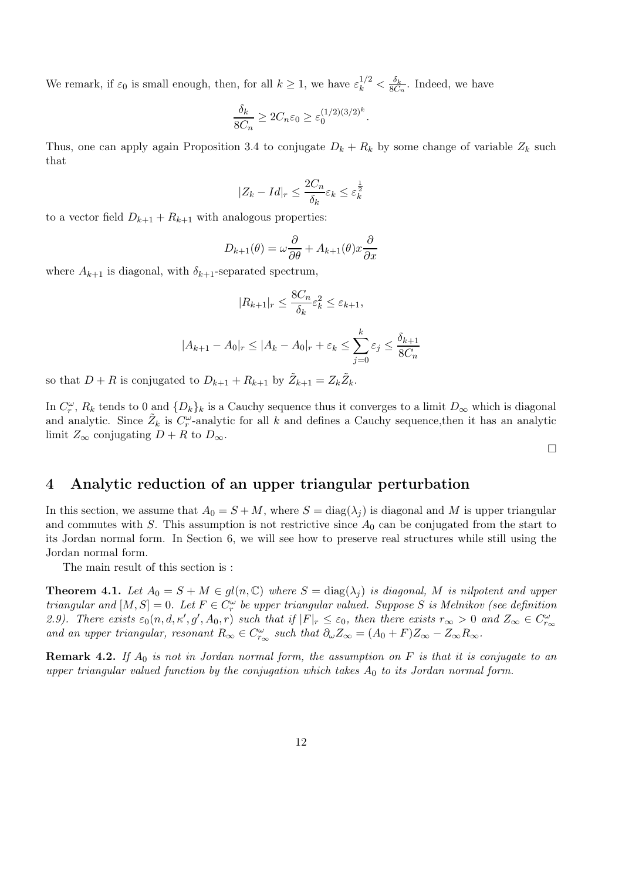We remark, if  $\varepsilon_0$  is small enough, then, for all  $k \geq 1$ , we have  $\varepsilon_k^{1/2} < \frac{\delta_k}{8C}$  $\frac{\partial_k}{\partial C_n}$ . Indeed, we have

$$
\frac{\delta_k}{8C_n} \ge 2C_n \varepsilon_0 \ge \varepsilon_0^{(1/2)(3/2)^k}.
$$

Thus, one can apply again Proposition 3.4 to conjugate  $D_k + R_k$  by some change of variable  $Z_k$  such that

$$
|Z_k - Id|_r \le \frac{2C_n}{\delta_k} \varepsilon_k \le \varepsilon_k^{\frac{1}{2}}
$$

to a vector field  $D_{k+1} + R_{k+1}$  with analogous properties:

$$
D_{k+1}(\theta) = \omega \frac{\partial}{\partial \theta} + A_{k+1}(\theta) x \frac{\partial}{\partial x}
$$

where  $A_{k+1}$  is diagonal, with  $\delta_{k+1}$ -separated spectrum,

$$
|R_{k+1}|_r \le \frac{8C_n}{\delta_k} \varepsilon_k^2 \le \varepsilon_{k+1},
$$

$$
|A_{k+1} - A_0|_r \le |A_k - A_0|_r + \varepsilon_k \le \sum_{j=0}^k \varepsilon_j \le \frac{\delta_{k+1}}{8C_n}
$$

so that  $D + R$  is conjugated to  $D_{k+1} + R_{k+1}$  by  $\tilde{Z}_{k+1} = Z_k \tilde{Z}_k$ .

In  $C_r^{\omega}$ ,  $R_k$  tends to 0 and  $\{D_k\}_k$  is a Cauchy sequence thus it converges to a limit  $D_{\infty}$  which is diagonal and analytic. Since  $\tilde{Z}_k$  is  $C_r^{\omega}$ -analytic for all k and defines a Cauchy sequence, then it has an analytic limit  $Z_{\infty}$  conjugating  $D + R$  to  $D_{\infty}$ .

 $\Box$ 

# 4 Analytic reduction of an upper triangular perturbation

In this section, we assume that  $A_0 = S + M$ , where  $S = \text{diag}(\lambda_i)$  is diagonal and M is upper triangular and commutes with S. This assumption is not restrictive since  $A_0$  can be conjugated from the start to its Jordan normal form. In Section 6, we will see how to preserve real structures while still using the Jordan normal form.

The main result of this section is :

**Theorem 4.1.** Let  $A_0 = S + M \in gl(n, \mathbb{C})$  where  $S = \text{diag}(\lambda_j)$  is diagonal, M is nilpotent and upper triangular and  $[M, S] = 0$ . Let  $F \in C_r^{\omega}$  be upper triangular valued. Suppose S is Melnikov (see definition 2.9). There exists  $\varepsilon_0(n, d, \kappa', g', A_0, r)$  such that if  $|F|_r \leq \varepsilon_0$ , then there exists  $r_{\infty} > 0$  and  $Z_{\infty} \in C_{r_{\infty}}^{\omega}$ and an upper triangular, resonant  $R_{\infty} \in C_{r_{\infty}}^{\omega}$  such that  $\partial_{\omega} Z_{\infty} = (A_0 + F)Z_{\infty} - Z_{\infty}R_{\infty}$ .

**Remark 4.2.** If  $A_0$  is not in Jordan normal form, the assumption on F is that it is conjugate to an upper triangular valued function by the conjugation which takes  $A_0$  to its Jordan normal form.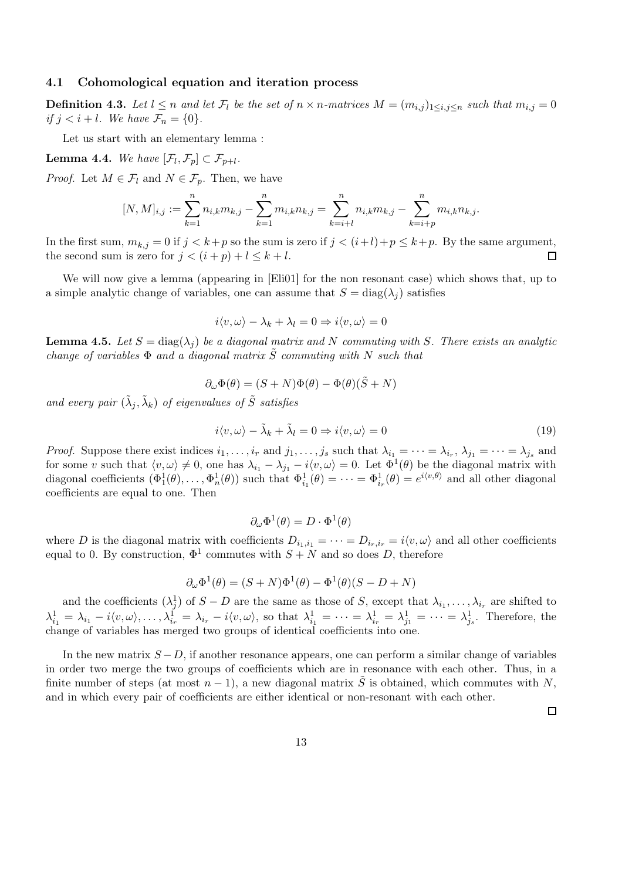#### 4.1 Cohomological equation and iteration process

**Definition 4.3.** Let  $l \leq n$  and let  $\mathcal{F}_l$  be the set of  $n \times n$ -matrices  $M = (m_{i,j})_{1 \leq i,j \leq n}$  such that  $m_{i,j} = 0$ if  $j < i+l$ . We have  $\mathcal{F}_n = \{0\}$ .

Let us start with an elementary lemma :

**Lemma 4.4.** We have  $[\mathcal{F}_l, \mathcal{F}_p] \subset \mathcal{F}_{p+l}$ .

*Proof.* Let  $M \in \mathcal{F}_l$  and  $N \in \mathcal{F}_p$ . Then, we have

$$
[N,M]_{i,j} := \sum_{k=1}^n n_{i,k} m_{k,j} - \sum_{k=1}^n m_{i,k} n_{k,j} = \sum_{k=i+l}^n n_{i,k} m_{k,j} - \sum_{k=i+p}^n m_{i,k} n_{k,j}.
$$

In the first sum,  $m_{k,j} = 0$  if  $j < k+p$  so the sum is zero if  $j < (i+l)+p \le k+p$ . By the same argument, the second sum is zero for  $j < (i+p)+l \le k+l$ . the second sum is zero for  $j < (i+p) + l \leq k+l$ .

We will now give a lemma (appearing in [Eli01] for the non resonant case) which shows that, up to a simple analytic change of variables, one can assume that  $S = \text{diag}(\lambda_i)$  satisfies

$$
i\langle v,\omega\rangle - \lambda_k + \lambda_l = 0 \Rightarrow i\langle v,\omega\rangle = 0
$$

**Lemma 4.5.** Let  $S = \text{diag}(\lambda_j)$  be a diagonal matrix and N commuting with S. There exists an analytic change of variables  $\Phi$  and a diagonal matrix  $\tilde{S}$  commuting with N such that

$$
\partial_{\omega} \Phi(\theta) = (S+N)\Phi(\theta) - \Phi(\theta)(\tilde{S}+N)
$$

and every pair  $(\tilde{\lambda}_j, \tilde{\lambda}_k)$  of eigenvalues of  $\tilde{S}$  satisfies

$$
i\langle v,\omega\rangle - \tilde{\lambda}_k + \tilde{\lambda}_l = 0 \Rightarrow i\langle v,\omega\rangle = 0
$$
\n(19)

*Proof.* Suppose there exist indices  $i_1, \ldots, i_r$  and  $j_1, \ldots, j_s$  such that  $\lambda_{i_1} = \cdots = \lambda_{i_r}, \lambda_{j_1} = \cdots = \lambda_{j_s}$  and for some v such that  $\langle v, \omega \rangle \neq 0$ , one has  $\lambda_{i_1} - \lambda_{j_1} - i \langle v, \omega \rangle = 0$ . Let  $\Phi^1(\theta)$  be the diagonal matrix with diagonal coefficients  $(\Phi_1^1(\theta), \ldots, \Phi_n^1(\theta))$  such that  $\Phi_{i_1}^1(\theta) = \cdots = \Phi_{i_r}^1(\theta) = e^{i \langle v, \theta \rangle}$  and all other diagonal coefficients are equal to one. Then

$$
\partial_{\omega} \Phi^1(\theta) = D \cdot \Phi^1(\theta)
$$

where D is the diagonal matrix with coefficients  $D_{i_1,i_1} = \cdots = D_{i_r,i_r} = i \langle v, \omega \rangle$  and all other coefficients equal to 0. By construction,  $\Phi^1$  commutes with  $S + N$  and so does D, therefore

$$
\partial_{\omega} \Phi^{1}(\theta) = (S+N)\Phi^{1}(\theta) - \Phi^{1}(\theta)(S-D+N)
$$

and the coefficients  $(\lambda_j^1)$  of  $S - D$  are the same as those of S, except that  $\lambda_{i_1}, \ldots, \lambda_{i_r}$  are shifted to  $\lambda_{i_1}^1 = \lambda_{i_1} - i \langle v, \omega \rangle, \ldots, \lambda_{i_r}^1 = \lambda_{i_r} - i \langle v, \omega \rangle$ , so that  $\lambda_{i_1}^1 = \cdots = \lambda_{i_r}^1 = \lambda_{j_1}^1 = \cdots = \lambda_{j_s}^1$ . Therefore, the change of variables has merged two groups of identical coefficients into one.

In the new matrix  $S - D$ , if another resonance appears, one can perform a similar change of variables in order two merge the two groups of coefficients which are in resonance with each other. Thus, in a finite number of steps (at most  $n-1$ ), a new diagonal matrix  $\tilde{S}$  is obtained, which commutes with N, and in which every pair of coefficients are either identical or non-resonant with each other.

 $\Box$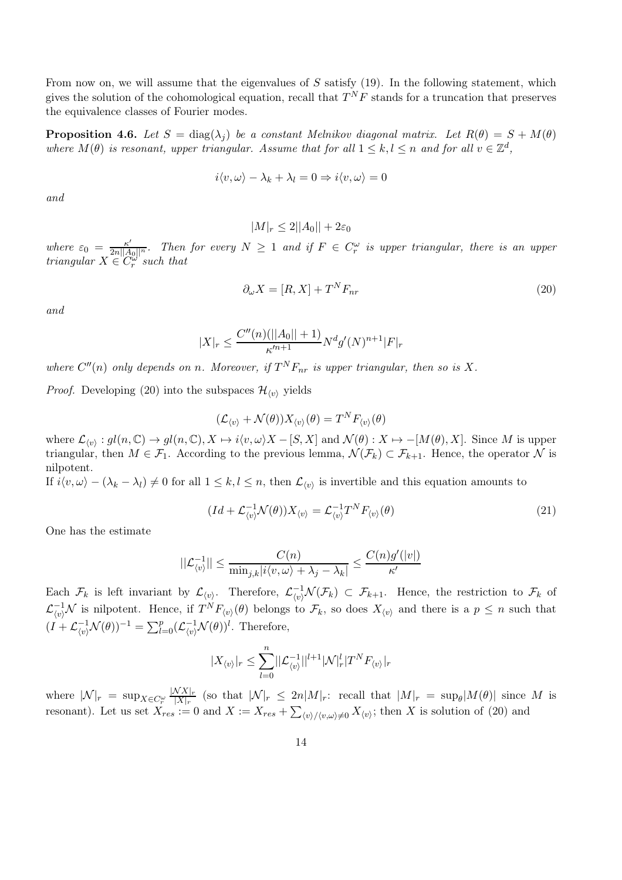From now on, we will assume that the eigenvalues of  $S$  satisfy (19). In the following statement, which gives the solution of the cohomological equation, recall that  $T^{N}F$  stands for a truncation that preserves the equivalence classes of Fourier modes.

**Proposition 4.6.** Let  $S = \text{diag}(\lambda_j)$  be a constant Melnikov diagonal matrix. Let  $R(\theta) = S + M(\theta)$ where  $M(\theta)$  is resonant, upper triangular. Assume that for all  $1 \leq k, l \leq n$  and for all  $v \in \mathbb{Z}^d$ ,

$$
i\langle v,\omega\rangle - \lambda_k + \lambda_l = 0 \Rightarrow i\langle v,\omega\rangle = 0
$$

and

 $|M|_r \leq 2||A_0|| + 2\varepsilon_0$ 

where  $\varepsilon_0 = \frac{\kappa'}{2n||A_0||^n}$ . Then for every  $N \ge 1$  and if  $F \in C_r^{\omega}$  is upper triangular, there is an upper triangular  $X \in C_r^{\omega}$  such that

$$
\partial_{\omega} X = [R, X] + T^N F_{nr} \tag{20}
$$

and

$$
|X|_{r} \le \frac{C''(n)(||A_0||+1)}{\kappa'^{n+1}} N^d g'(N)^{n+1} |F|_{r}
$$

where  $C''(n)$  only depends on n. Moreover, if  $T^N F_{nr}$  is upper triangular, then so is X.

*Proof.* Developing (20) into the subspaces  $\mathcal{H}_{\langle v \rangle}$  yields

$$
(\mathcal{L}_{\langle v \rangle} + \mathcal{N}(\theta))X_{\langle v \rangle}(\theta) = T^NF_{\langle v \rangle}(\theta)
$$

where  $\mathcal{L}_{\langle v \rangle}: gl(n, \mathbb{C}) \to gl(n, \mathbb{C}), X \mapsto i\langle v, \omega \rangle X - [S, X]$  and  $\mathcal{N}(\theta): X \mapsto -[M(\theta), X]$ . Since M is upper triangular, then  $M \in \mathcal{F}_1$ . According to the previous lemma,  $\mathcal{N}(\mathcal{F}_k) \subset \mathcal{F}_{k+1}$ . Hence, the operator  $\mathcal N$  is nilpotent.

If  $i\langle v, \omega\rangle - (\lambda_k - \lambda_l) \neq 0$  for all  $1 \leq k, l \leq n$ , then  $\mathcal{L}_{\langle v \rangle}$  is invertible and this equation amounts to

$$
(Id + \mathcal{L}_{\langle v \rangle}^{-1} \mathcal{N}(\theta)) X_{\langle v \rangle} = \mathcal{L}_{\langle v \rangle}^{-1} T^N F_{\langle v \rangle}(\theta)
$$
\n(21)

One has the estimate

$$
||\mathcal{L}_{\langle v \rangle}^{-1}|| \leq \frac{C(n)}{\min_{j,k}|i\langle v, \omega\rangle + \lambda_j - \lambda_k|} \leq \frac{C(n)g'(|v|)}{\kappa'}
$$

Each  $\mathcal{F}_k$  is left invariant by  $\mathcal{L}_{\langle v \rangle}$ . Therefore,  $\mathcal{L}_{\langle v \rangle}^{-1} \mathcal{N}(\mathcal{F}_k) \subset \mathcal{F}_{k+1}$ . Hence, the restriction to  $\mathcal{F}_k$  of  $\mathcal{L}_{\langle v \rangle}^{-1} \mathcal{N}$  is nilpotent. Hence, if  $T^N F_{\langle v \rangle}(\theta)$  belongs to  $\mathcal{F}_k$ , so does  $X_{\langle v \rangle}$  and there is a  $p \leq n$  such that  $(I + \mathcal{L}_{\langle v \rangle}^{-1} \mathcal{N}(\theta))^{-1} = \sum_{l=0}^{p} (\mathcal{L}_{\langle v \rangle}^{-1} \mathcal{N}(\theta))^{l}$ . Therefore,

$$
|X_{\langle v \rangle}|_r \leq \sum_{l=0}^n ||\mathcal{L}_{\langle v \rangle}^{-1}||^{l+1} |\mathcal{N}|_r^l |T^N F_{\langle v \rangle}|_r
$$

where  $|\mathcal{N}|_r = \sup_{X \in C_r^{\omega}} \frac{|NX|_r}{|X|_r}$  $\frac{N\Delta|r}{|X|r}$  (so that  $|\mathcal{N}|_r \leq 2n|\mathcal{M}|_r$ : recall that  $|\mathcal{M}|_r = \sup_{\theta} |M(\theta)|$  since M is resonant). Let us set  $X_{res} := 0$  and  $X := X_{res} + \sum_{\langle v \rangle / \langle v, \omega \rangle \neq 0} X_{\langle v \rangle}$ ; then X is solution of (20) and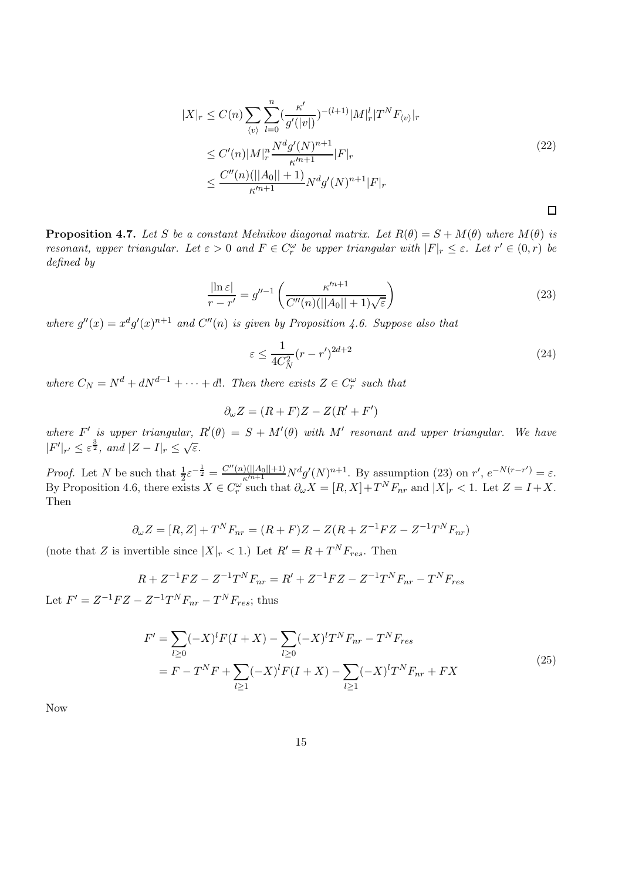$$
|X|_{r} \leq C(n) \sum_{\langle v \rangle} \sum_{l=0}^{n} \left(\frac{\kappa'}{g'(|v|)}\right)^{-(l+1)} |M|_{r}^{l} |T^{N} F_{\langle v \rangle}|_{r}
$$
  
\n
$$
\leq C'(n) |M|_{r}^{n} \frac{N^{d} g'(N)^{n+1}}{\kappa'^{n+1}} |F|_{r}
$$
  
\n
$$
\leq \frac{C''(n)(||A_{0}||+1)}{\kappa'^{n+1}} N^{d} g'(N)^{n+1} |F|_{r}
$$
\n
$$
\square
$$

**Proposition 4.7.** Let S be a constant Melnikov diagonal matrix. Let  $R(\theta) = S + M(\theta)$  where  $M(\theta)$  is resonant, upper triangular. Let  $\varepsilon > 0$  and  $F \in C_r^{\omega}$  be upper triangular with  $|F|_r \leq \varepsilon$ . Let  $r' \in (0, r)$  be defined by

$$
\frac{|\ln \varepsilon|}{r - r'} = g''^{-1} \left( \frac{\kappa'^{n+1}}{C''(n)(||A_0|| + 1)\sqrt{\varepsilon}} \right)
$$
\n(23)

where  $g''(x) = x^d g'(x)^{n+1}$  and  $C''(n)$  is given by Proposition 4.6. Suppose also that

$$
\varepsilon \le \frac{1}{4C_N^2} (r - r')^{2d + 2} \tag{24}
$$

where  $C_N = N^d + dN^{d-1} + \cdots + d!$ . Then there exists  $Z \in C_r^{\omega}$  such that

$$
\partial_{\omega} Z = (R + F)Z - Z(R' + F')
$$

where F' is upper triangular,  $R'(\theta) = S + M'(\theta)$  with M' resonant and upper triangular. We have  $|F'|_{r'} \leq \varepsilon^{\frac{3}{2}}, \text{ and } |Z - I|_{r} \leq \sqrt{\varepsilon}.$ 

*Proof.* Let N be such that  $\frac{1}{2}\varepsilon^{-\frac{1}{2}} = \frac{C''(n)(||A_0||+1)}{\kappa^{n+1}}N^d g'(N)^{n+1}$ . By assumption (23) on r',  $e^{-N(r-r')} = \varepsilon$ . By Proposition 4.6, there exists  $X \in C_r^{\omega}$  such that  $\partial_{\omega} X = [R, X] + T^N F_{nr}$  and  $|X|_r < 1$ . Let  $Z = I + X$ . Then

$$
\partial_{\omega} Z = [R, Z] + T^N F_{nr} = (R + F)Z - Z(R + Z^{-1}FZ - Z^{-1}T^N F_{nr})
$$

(note that Z is invertible since  $|X|_r < 1$ .) Let  $R' = R + T^N F_{res}$ . Then

$$
R + Z^{-1}FZ - Z^{-1}T^{N}F_{nr} = R' + Z^{-1}FZ - Z^{-1}T^{N}F_{nr} - T^{N}F_{res}
$$
  

$$
Z - Z^{-1}T^{N}F = T^{N}F
$$
 thus

Let  $F' = Z^{-1}FZ - Z^{-1}T^{N}F_{nr} - T^{N}F_{res}$ ; thus

$$
F' = \sum_{l\geq 0} (-X)^l F(I+X) - \sum_{l\geq 0} (-X)^l T^N F_{nr} - T^N F_{res}
$$
  
=  $F - T^N F + \sum_{l\geq 1} (-X)^l F(I+X) - \sum_{l\geq 1} (-X)^l T^N F_{nr} + FX$  (25)

Now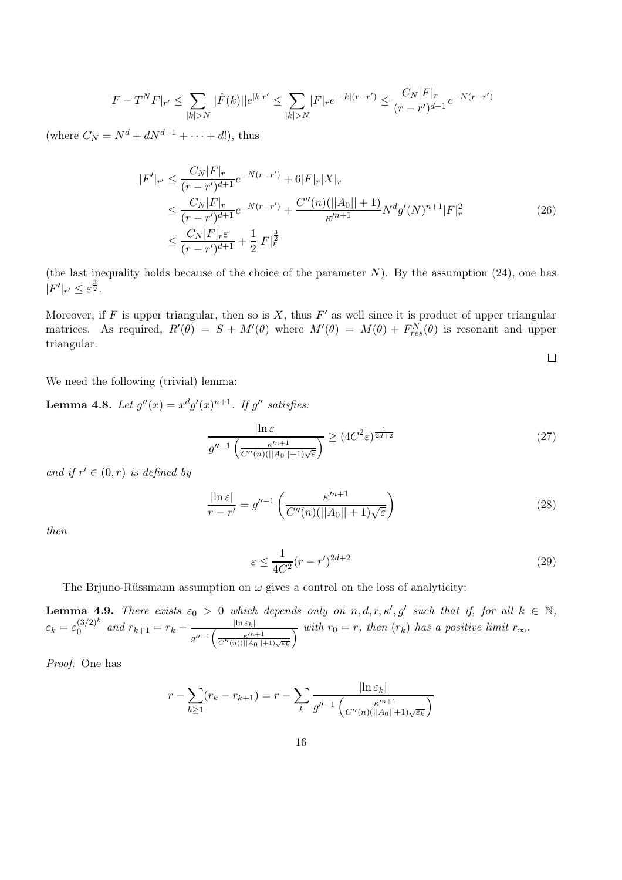$$
|F - T^N F|_{r'} \le \sum_{|k| > N} ||\hat{F}(k)||e^{|k|r'} \le \sum_{|k| > N} |F|_{r} e^{-|k|(r-r')} \le \frac{C_N |F|_{r}}{(r-r')^{d+1}} e^{-N(r-r')}
$$

(where  $C_N = N^d + dN^{d-1} + \cdots + d!$ ), thus

$$
|F'|_{r'} \leq \frac{C_N|F|_r}{(r-r')^{d+1}} e^{-N(r-r')} + 6|F|_r|X|_r
$$
  
\n
$$
\leq \frac{C_N|F|_r}{(r-r')^{d+1}} e^{-N(r-r')} + \frac{C''(n)(||A_0||+1)}{\kappa'^{n+1}} N^d g'(N)^{n+1} |F|_r^2
$$
  
\n
$$
\leq \frac{C_N|F|_r \varepsilon}{(r-r')^{d+1}} + \frac{1}{2}|F|_r^{\frac{3}{2}}
$$
 (26)

(the last inequality holds because of the choice of the parameter  $N$ ). By the assumption (24), one has  $|F'|_{r'} \leq \varepsilon^{\frac{3}{2}}.$ 

Moreover, if F is upper triangular, then so is X, thus  $F'$  as well since it is product of upper triangular matrices. As required,  $R'(\theta) = S + M'(\theta)$  where  $M'(\theta) = M(\theta) + F_{res}^{N}(\theta)$  is resonant and upper triangular.

We need the following (trivial) lemma:

**Lemma 4.8.** Let  $g''(x) = x^d g'(x)^{n+1}$ . If  $g''$  satisfies:

$$
\frac{\left|\ln \varepsilon\right|}{g''^{-1}\left(\frac{\kappa'^{n+1}}{C''(n)(||A_0||+1)\sqrt{\varepsilon}}\right)} \ge (4C^2\varepsilon)^{\frac{1}{2d+2}}\tag{27}
$$

 $\Box$ 

and if  $r' \in (0, r)$  is defined by

$$
\frac{|\ln \varepsilon|}{r - r'} = g''^{-1} \left( \frac{\kappa'^{n+1}}{C''(n)(||A_0|| + 1)\sqrt{\varepsilon}} \right)
$$
\n(28)

then

$$
\varepsilon \le \frac{1}{4C^2} (r - r')^{2d+2} \tag{29}
$$

The Brjuno-Rüssmann assumption on  $\omega$  gives a control on the loss of analyticity:

**Lemma 4.9.** There exists  $\varepsilon_0 > 0$  which depends only on  $n, d, r, \kappa', g'$  such that if, for all  $k \in \mathbb{N}$ ,  $\varepsilon_k = \varepsilon_0^{(3/2)^k}$  $\int_0^{(3/2)^k}$  and  $r_{k+1} = r_k - \frac{|\ln \varepsilon_k|}{r}$  $g''^{-1} \left( \frac{\kappa'^{n+1}}{C''(n)(||A||)} \right)$  $C''(n)(||A_0||+1)\sqrt{\varepsilon_k}$  $\frac{1}{\sqrt{N}}$  with  $r_0 = r$ , then  $(r_k)$  has a positive limit  $r_\infty$ .

Proof. One has

$$
r - \sum_{k \ge 1} (r_k - r_{k+1}) = r - \sum_{k} \frac{|\ln \varepsilon_k|}{g''^{-1} \left( \frac{\kappa'^{n+1}}{C''(n)(||A_0||+1)\sqrt{\varepsilon_k}} \right)}
$$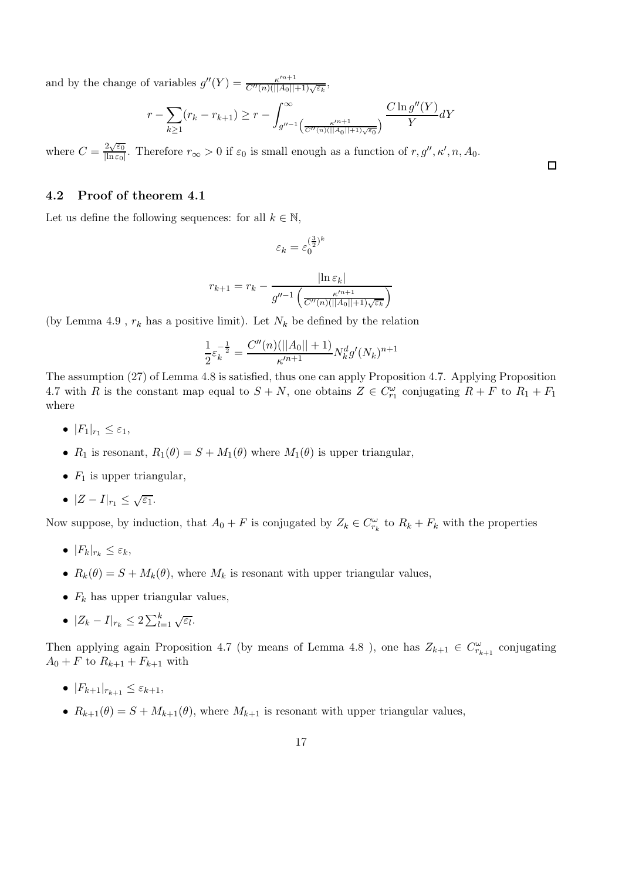and by the change of variables  $g''(Y) = \frac{\kappa'^{n+1}}{C''(n)(\Vert A_0 \Vert)}$  $\frac{\kappa^{n+1}}{C''(n)(||A_0||+1)\sqrt{\varepsilon_k}},$ 

$$
r - \sum_{k \ge 1} (r_k - r_{k+1}) \ge r - \int_{g''^{-1} \left( \frac{\kappa'^{n+1}}{C''(n)(||A_0|| + 1)\sqrt{\epsilon_0}} \right)}^{\infty} \frac{C \ln g''(Y)}{Y} dY
$$

where  $C = \frac{2\sqrt{\varepsilon_0}}{\ln \varepsilon_0}$  $\frac{2\sqrt{\epsilon_0}}{\ln \epsilon_0}$ . Therefore  $r_{\infty} > 0$  if  $\epsilon_0$  is small enough as a function of  $r, g'', \kappa', n, A_0$ .

#### 4.2 Proof of theorem 4.1

Let us define the following sequences: for all  $k \in \mathbb{N}$ ,

$$
\varepsilon_k=\varepsilon_0^{(\frac{3}{2})^k}
$$

$$
r_{k+1} = r_k - \frac{|\ln \varepsilon_k|}{g''^{-1} \left(\frac{\kappa'^{n+1}}{C''(n)(||A_0||+1)\sqrt{\varepsilon_k}}\right)}
$$

(by Lemma 4.9,  $r_k$  has a positive limit). Let  $N_k$  be defined by the relation

$$
\frac{1}{2}\varepsilon_k^{-\frac{1}{2}} = \frac{C''(n)(||A_0|| + 1)}{\kappa^{m+1}} N_k^d g'(N_k)^{n+1}
$$

The assumption (27) of Lemma 4.8 is satisfied, thus one can apply Proposition 4.7. Applying Proposition 4.7 with R is the constant map equal to  $S + N$ , one obtains  $Z \in C_{r_1}^{\omega}$  conjugating  $R + F$  to  $R_1 + F_1$ where

- $|F_1|_{r_1} \leq \varepsilon_1$ ,
- $R_1$  is resonant,  $R_1(\theta) = S + M_1(\theta)$  where  $M_1(\theta)$  is upper triangular,
- $F_1$  is upper triangular.
- $|Z I|_{r_1} \leq \sqrt{\varepsilon_1}.$

Now suppose, by induction, that  $A_0 + F$  is conjugated by  $Z_k \in C_{r_k}^{\omega}$  to  $R_k + F_k$  with the properties

- $|F_k|_{r_k} \leq \varepsilon_k$ ,
- $R_k(\theta) = S + M_k(\theta)$ , where  $M_k$  is resonant with upper triangular values,
- $F_k$  has upper triangular values,
- $|Z_k I|_{r_k} \leq 2 \sum_{l=1}^k \sqrt{\varepsilon_l}.$

Then applying again Proposition 4.7 (by means of Lemma 4.8), one has  $Z_{k+1} \in C_{r_{k+1}}^{\omega}$  conjugating  $A_0 + F$  to  $R_{k+1} + F_{k+1}$  with

- $|F_{k+1}|_{r_{k+1}} \leq \varepsilon_{k+1},$
- $R_{k+1}(\theta) = S + M_{k+1}(\theta)$ , where  $M_{k+1}$  is resonant with upper triangular values,

 $\Box$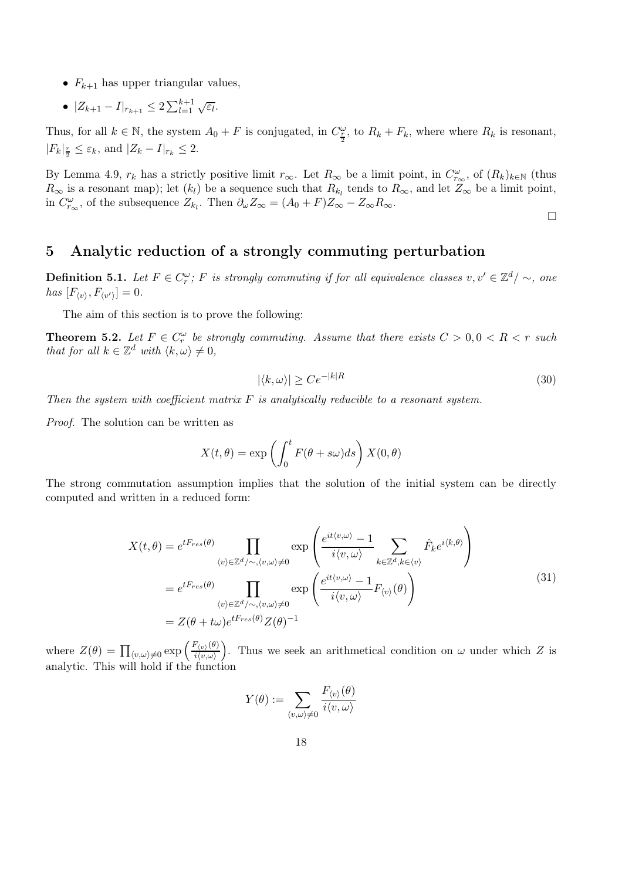- $F_{k+1}$  has upper triangular values,
- $|Z_{k+1} I|_{r_{k+1}} \leq 2 \sum_{l=1}^{k+1} \sqrt{\varepsilon_l}.$

Thus, for all  $k \in \mathbb{N}$ , the system  $A_0 + F$  is conjugated, in  $C_{\frac{r}{2}}^{\omega}$ , to  $R_k + F_k$ , where where  $R_k$  is resonant,  $|F_k|_{\frac{r}{2}} \leq \varepsilon_k$ , and  $|Z_k - I|_{r_k} \leq 2$ .

By Lemma 4.9,  $r_k$  has a strictly positive limit  $r_{\infty}$ . Let  $R_{\infty}$  be a limit point, in  $C_{r_{\infty}}^{\omega}$ , of  $(R_k)_{k\in\mathbb{N}}$  (thus  $R_{\infty}$  is a resonant map); let  $(k_l)$  be a sequence such that  $R_{k_l}$  tends to  $R_{\infty}$ , and let  $Z_{\infty}$  be a limit point, in  $C_{r_{\infty}}^{\omega}$ , of the subsequence  $Z_{k_l}$ . Then  $\partial_{\omega} Z_{\infty} = (A_0 + F)Z_{\infty} - Z_{\infty}R_{\infty}$ .

### $\Box$

## 5 Analytic reduction of a strongly commuting perturbation

**Definition 5.1.** Let  $F \in C_r^{\omega}$ ; F is strongly commuting if for all equivalence classes  $v, v' \in \mathbb{Z}^d/\sim$ , one has  $[F_{\langle v \rangle}, F_{\langle v' \rangle}] = 0.$ 

The aim of this section is to prove the following:

**Theorem 5.2.** Let  $F \in C_r^{\omega}$  be strongly commuting. Assume that there exists  $C > 0, 0 < R < r$  such that for all  $k \in \mathbb{Z}^d$  with  $\langle k, \omega \rangle \neq 0$ ,

$$
|\langle k, \omega \rangle| \ge C e^{-|k|R} \tag{30}
$$

Then the system with coefficient matrix  $F$  is analytically reducible to a resonant system.

Proof. The solution can be written as

$$
X(t,\theta) = \exp\left(\int_0^t F(\theta + s\omega)ds\right) X(0,\theta)
$$

The strong commutation assumption implies that the solution of the initial system can be directly computed and written in a reduced form:

$$
X(t,\theta) = e^{tF_{res}(\theta)} \prod_{\langle v \rangle \in \mathbb{Z}^d/\sim, \langle v, \omega \rangle \neq 0} \exp\left(\frac{e^{it\langle v, \omega \rangle} - 1}{i\langle v, \omega \rangle} \sum_{k \in \mathbb{Z}^d, k \in \langle v \rangle} \hat{F}_k e^{i\langle k, \theta \rangle}\right)
$$
  

$$
= e^{tF_{res}(\theta)} \prod_{\langle v \rangle \in \mathbb{Z}^d/\sim, \langle v, \omega \rangle \neq 0} \exp\left(\frac{e^{it\langle v, \omega \rangle} - 1}{i\langle v, \omega \rangle} F_{\langle v \rangle}(\theta)\right)
$$
  

$$
= Z(\theta + t\omega) e^{tF_{res}(\theta)} Z(\theta)^{-1}
$$
 (31)

where  $Z(\theta) = \prod_{\langle v,\omega \rangle \neq 0} \exp \left( \frac{F_{\langle v \rangle}(\theta)}{i \langle v,\omega \rangle} \right)$  $i\langle v,\omega\rangle$ ). Thus we seek an arithmetical condition on  $\omega$  under which Z is analytic. This will hold if the function

$$
Y(\theta) := \sum_{\langle v,\omega\rangle \neq 0} \frac{F_{\langle v\rangle}(\theta)}{i\langle v,\omega\rangle}
$$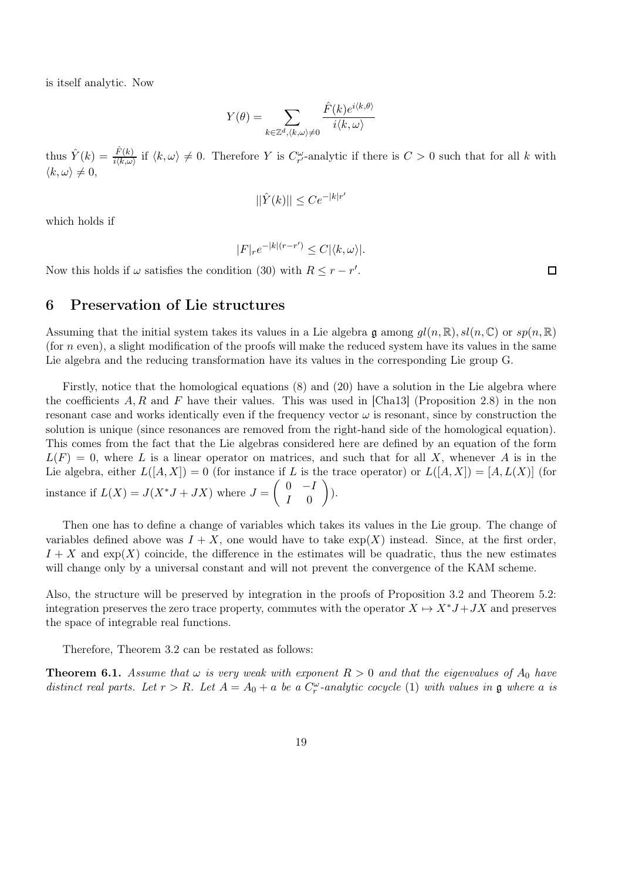is itself analytic. Now

$$
Y(\theta) = \sum_{k \in \mathbb{Z}^d, \langle k, \omega \rangle \neq 0} \frac{\hat{F}(k)e^{i\langle k, \theta \rangle}}{i\langle k, \omega \rangle}
$$

thus  $\hat{Y}(k) = \frac{\hat{F}(k)}{i \langle k, \omega \rangle}$  if  $\langle k, \omega \rangle \neq 0$ . Therefore Y is  $C_{r'}^{\omega}$ -analytic if there is  $C > 0$  such that for all k with  $\langle k, \omega \rangle \neq 0,$ 

$$
||\hat{Y}(k)|| \le Ce^{-|k|r'|}
$$

which holds if

$$
|F|_{r}e^{-|k|(r-r')}\leq C|\langle k,\omega\rangle|.
$$

Now this holds if  $\omega$  satisfies the condition (30) with  $R \leq r - r'$ .

### 6 Preservation of Lie structures

Assuming that the initial system takes its values in a Lie algebra  $\mathfrak{g}$  among  $q l(n, \mathbb{R})$ ,  $sl(n, \mathbb{C})$  or  $sp(n, \mathbb{R})$ (for  $n$  even), a slight modification of the proofs will make the reduced system have its values in the same Lie algebra and the reducing transformation have its values in the corresponding Lie group G.

Firstly, notice that the homological equations (8) and (20) have a solution in the Lie algebra where the coefficients  $A, R$  and F have their values. This was used in [Cha13] (Proposition 2.8) in the non resonant case and works identically even if the frequency vector  $\omega$  is resonant, since by construction the solution is unique (since resonances are removed from the right-hand side of the homological equation). This comes from the fact that the Lie algebras considered here are defined by an equation of the form  $L(F) = 0$ , where L is a linear operator on matrices, and such that for all X, whenever A is in the Lie algebra, either  $L([A, X]) = 0$  (for instance if L is the trace operator) or  $L([A, X]) = [A, L(X)]$  (for instance if  $L(X) = J(X^*J + JX)$  where  $J =$  $\begin{pmatrix} 0 & -I \end{pmatrix}$  $I \quad 0$  $\overline{ }$ ).

Then one has to define a change of variables which takes its values in the Lie group. The change of variables defined above was  $I + X$ , one would have to take  $exp(X)$  instead. Since, at the first order,  $I + X$  and  $\exp(X)$  coincide, the difference in the estimates will be quadratic, thus the new estimates will change only by a universal constant and will not prevent the convergence of the KAM scheme.

Also, the structure will be preserved by integration in the proofs of Proposition 3.2 and Theorem 5.2: integration preserves the zero trace property, commutes with the operator  $X \mapsto X^*J + JX$  and preserves the space of integrable real functions.

Therefore, Theorem 3.2 can be restated as follows:

**Theorem 6.1.** Assume that  $\omega$  is very weak with exponent  $R > 0$  and that the eigenvalues of  $A_0$  have distinct real parts. Let  $r > R$ . Let  $A = A_0 + a$  be a  $C_r^{\omega}$ -analytic cocycle (1) with values in  $\mathfrak g$  where a is

 $\Box$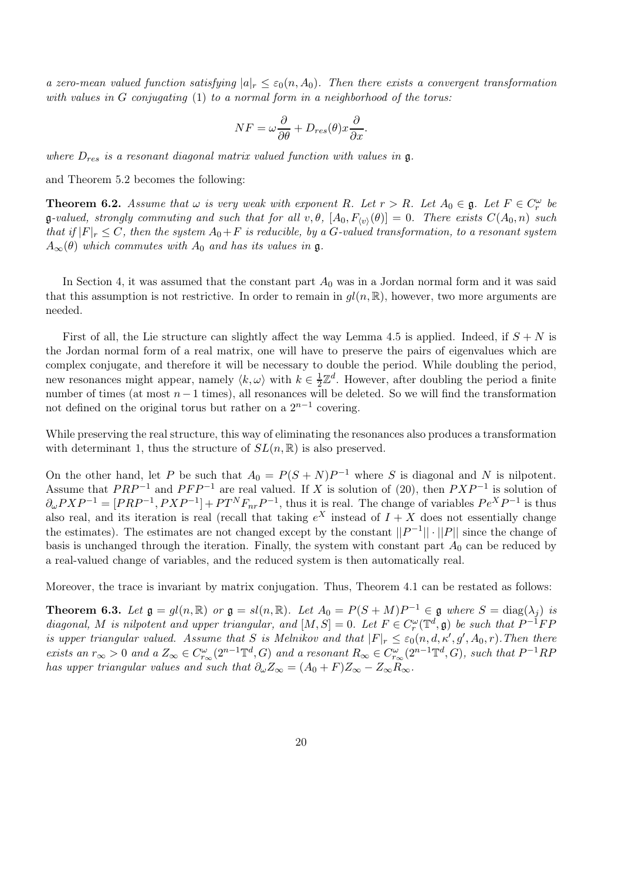a zero-mean valued function satisfying  $|a|_r \leq \varepsilon_0(n, A_0)$ . Then there exists a convergent transformation with values in  $G$  conjugating  $(1)$  to a normal form in a neighborhood of the torus:

$$
NF = \omega \frac{\partial}{\partial \theta} + D_{res}(\theta) x \frac{\partial}{\partial x}.
$$

where  $D_{res}$  is a resonant diagonal matrix valued function with values in  $\mathfrak{g}$ .

and Theorem 5.2 becomes the following:

**Theorem 6.2.** Assume that  $\omega$  is very weak with exponent R. Let  $r > R$ . Let  $A_0 \in \mathfrak{g}$ . Let  $F \in C_r^{\omega}$  be  $\mathfrak{g}\text{-}valued$ , strongly commuting and such that for all  $v, \theta$ ,  $[A_0, F_{\langle v \rangle}(\theta)] = 0$ . There exists  $C(A_0, n)$  such that if  $|F|_r \leq C$ , then the system  $A_0 + F$  is reducible, by a G-valued transformation, to a resonant system  $A_{\infty}(\theta)$  which commutes with  $A_0$  and has its values in g.

In Section 4, it was assumed that the constant part  $A_0$  was in a Jordan normal form and it was said that this assumption is not restrictive. In order to remain in  $gl(n,\mathbb{R})$ , however, two more arguments are needed.

First of all, the Lie structure can slightly affect the way Lemma 4.5 is applied. Indeed, if  $S + N$  is the Jordan normal form of a real matrix, one will have to preserve the pairs of eigenvalues which are complex conjugate, and therefore it will be necessary to double the period. While doubling the period, new resonances might appear, namely  $\langle k, \omega \rangle$  with  $k \in \frac{1}{2}$  $\frac{1}{2}\mathbb{Z}^d$ . However, after doubling the period a finite number of times (at most  $n-1$  times), all resonances will be deleted. So we will find the transformation not defined on the original torus but rather on a  $2^{n-1}$  covering.

While preserving the real structure, this way of eliminating the resonances also produces a transformation with determinant 1, thus the structure of  $SL(n,\mathbb{R})$  is also preserved.

On the other hand, let P be such that  $A_0 = P(S+N)P^{-1}$  where S is diagonal and N is nilpotent. Assume that  $PRP^{-1}$  and  $PFP^{-1}$  are real valued. If X is solution of (20), then  $PXP^{-1}$  is solution of  $\partial_{\omega} P X P^{-1} = [PRP^{-1}, P X P^{-1}] + PT^N F_{nr} P^{-1}$ , thus it is real. The change of variables  $Pe^X P^{-1}$  is thus also real, and its iteration is real (recall that taking  $e^X$  instead of  $I + X$  does not essentially change the estimates). The estimates are not changed except by the constant  $||P^{-1}|| \cdot ||P||$  since the change of basis is unchanged through the iteration. Finally, the system with constant part  $A_0$  can be reduced by a real-valued change of variables, and the reduced system is then automatically real.

Moreover, the trace is invariant by matrix conjugation. Thus, Theorem 4.1 can be restated as follows:

**Theorem 6.3.** Let  $\mathfrak{g} = gl(n, \mathbb{R})$  or  $\mathfrak{g} = sl(n, \mathbb{R})$ . Let  $A_0 = P(S + M)P^{-1} \in \mathfrak{g}$  where  $S = \text{diag}(\lambda_j)$  is diagonal, M is nilpotent and upper triangular, and  $[M, S] = 0$ . Let  $F \in C_r^{\omega}(\mathbb{T}^d, \mathfrak{g})$  be such that  $P^{-1}FF$ is upper triangular valued. Assume that S is Melnikov and that  $|F|_r \leq \varepsilon_0(n, d, \kappa', g', A_0, r)$ . Then there exists an  $r_{\infty} > 0$  and a  $Z_{\infty} \in C_{r_{\infty}}^{\omega}(2^{n-1} \mathbb{T}^d, G)$  and a resonant  $R_{\infty} \in C_{r_{\infty}}^{\omega}(2^{n-1} \mathbb{T}^d, G)$ , such that  $P^{-1}RP$ has upper triangular values and such that  $\partial_{\omega}Z_{\infty} = (A_0 + F)Z_{\infty} - Z_{\infty}R_{\infty}$ .